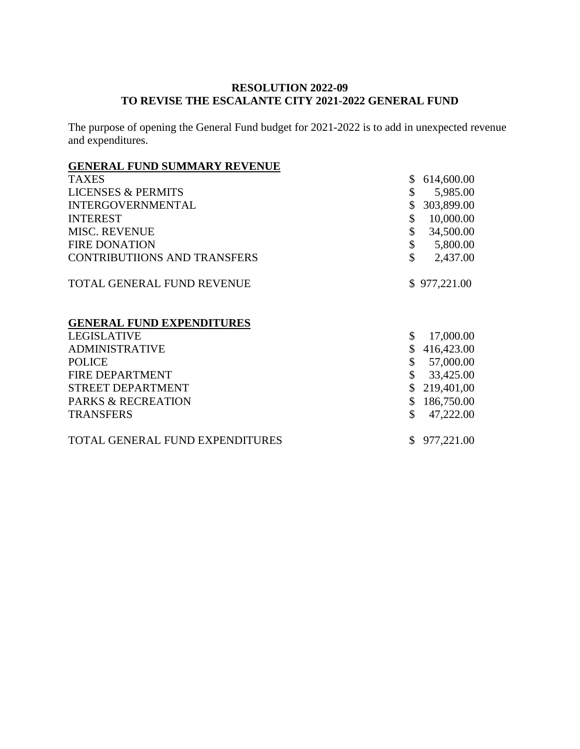### **RESOLUTION 2022-09 TO REVISE THE ESCALANTE CITY 2021-2022 GENERAL FUND**

The purpose of opening the General Fund budget for 2021-2022 is to add in unexpected revenue and expenditures.

# **GENERAL FUND SUMMARY REVENUE**

| <b>TAXES</b><br>\$                                        | 614,600.00   |
|-----------------------------------------------------------|--------------|
| \$<br><b>LICENSES &amp; PERMITS</b>                       | 5,985.00     |
| <b>INTERGOVERNMENTAL</b><br>\$                            | 303,899.00   |
| <b>INTEREST</b><br>\$                                     | 10,000.00    |
| \$<br><b>MISC. REVENUE</b>                                | 34,500.00    |
| \$<br><b>FIRE DONATION</b>                                | 5,800.00     |
| $\mathbf{\hat{S}}$<br><b>CONTRIBUTIIONS AND TRANSFERS</b> | 2,437.00     |
| <b>TOTAL GENERAL FUND REVENUE</b>                         | \$977,221.00 |
| <b>GENERAL FUND EXPENDITURES</b>                          |              |
| <b>LEGISLATIVE</b><br>\$                                  | 17,000.00    |
| <b>ADMINISTRATIVE</b>                                     | 416,423.00   |
| <b>POLICE</b><br>\$                                       | 57,000.00    |
| <b>FIRE DEPARTMENT</b><br>\$                              | 33,425.00    |
| <b>STREET DEPARTMENT</b>                                  | 219,401,00   |
| <b>PARKS &amp; RECREATION</b><br>\$                       | 186,750.00   |
| \$<br><b>TRANSFERS</b>                                    | 47,222.00    |
| TOTAL GENERAL FUND EXPENDITURES                           | 977,221.00   |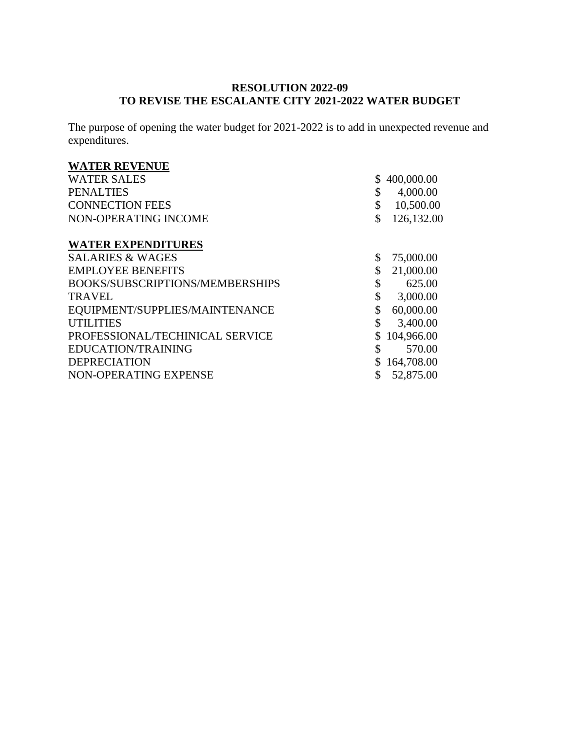### **RESOLUTION 2022-09 TO REVISE THE ESCALANTE CITY 2021-2022 WATER BUDGET**

The purpose of opening the water budget for 2021-2022 is to add in unexpected revenue and expenditures.

# **WATER REVENUE**

| <b>WATER SALES</b>              | \$<br>400,000.00 |
|---------------------------------|------------------|
| <b>PENALTIES</b>                | \$<br>4,000.00   |
| <b>CONNECTION FEES</b>          | \$<br>10,500.00  |
| NON-OPERATING INCOME            | \$<br>126,132.00 |
| <b>WATER EXPENDITURES</b>       |                  |
| <b>SALARIES &amp; WAGES</b>     | \$<br>75,000.00  |
| <b>EMPLOYEE BENEFITS</b>        | \$<br>21,000.00  |
| BOOKS/SUBSCRIPTIONS/MEMBERSHIPS | \$<br>625.00     |
| <b>TRAVEL</b>                   | \$<br>3,000.00   |
| EQUIPMENT/SUPPLIES/MAINTENANCE  | \$<br>60,000.00  |
| <b>UTILITIES</b>                | \$<br>3,400.00   |
| PROFESSIONAL/TECHINICAL SERVICE | 104,966.00       |
| EDUCATION/TRAINING              | \$<br>570.00     |
| <b>DEPRECIATION</b>             | 164,708.00       |
| NON-OPERATING EXPENSE           | \$<br>52,875.00  |
|                                 |                  |